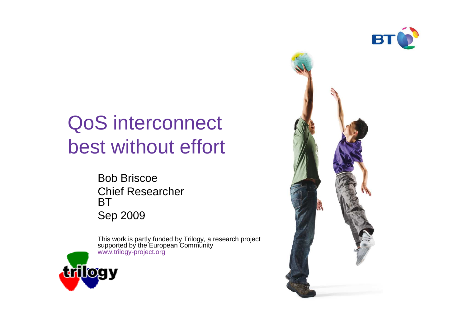

# QoS interconnect best without effort

Bob Briscoe Chief ResearcherBTSep 2009

This work is partly funded by Trilogy, a research project<br>supported by the European Community<br><u>www.trilogy-project.org</u>



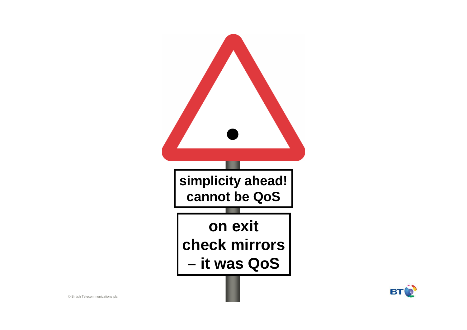

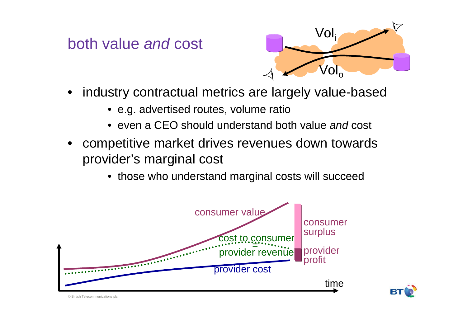both value and cost



- • industry contractual metrics are largely value-based
	- e.g. advertised routes, volume ratio
	- even a CEO should understand both value *and* cost
- • competitive market drives revenues down towards provider's marginal cost
	- those who understand marginal costs will succeed





© British Telecommunications plc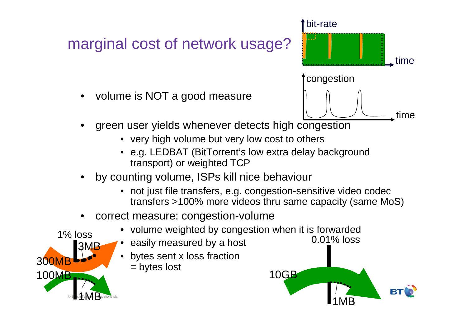### marginal cost of network usage?

•volume is NOT a good measure



- • green user yields whenever detects high congestion
	- very high volume but very low cost to others
	- e.g. LEDBAT (BitTorrent's low extra delay background transport) or weighted TCP
- by counting volume, ISPs kill nice behaviour•
	- not just file transfers, e.g. congestion-sensitive video codec transfers >100% more videos thru same capacity (same MoS)
- • correct measure: congestion-volume
	- volume weighted by congestion when it is forwarded
		- easily measured by a host
		- bytes sent x loss fraction= bytes lost



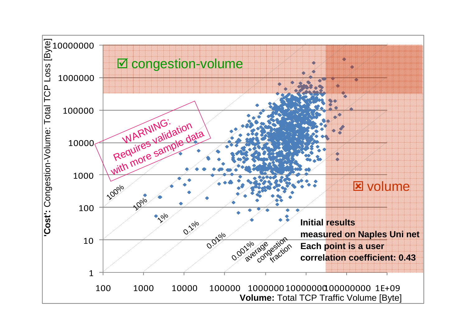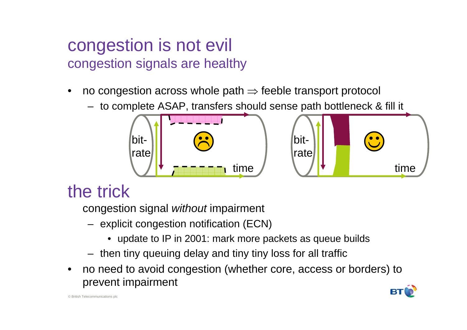#### congestion is not evilcongestion signals are healthy

- •no congestion across whole path  $\Rightarrow$  feeble transport protocol<br>to complete ASAD transfors abould eares path bettlepeels
	- to complete ASAP, transfers should sense path bottleneck & fill it



## the trick

congestion signal *without* impairment

- explicit congestion notification (ECN)
	- update to IP in 2001: mark more packets as queue builds
- then tiny queuing delay and tiny tiny loss for all traffic
- • no need to avoid congestion (whether core, access or borders) toprevent impairment

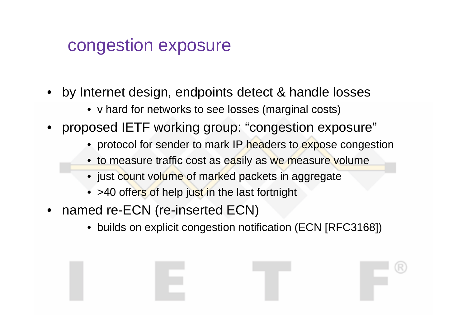### congestion exposure

- • by Internet design, endpoints detect & handle losses
	- v hard for networks to see losses (marginal costs)
- • proposed IETF working group: "congestion exposure"
	- protocol for sender to mark IP headers to expose congestion
	- to measure traffic cost as easily as we measure volume
	- just count volume of marked packets in aggregate
	- $\bullet\,$  >40 offers of help just in the last fortnight
- • named re-ECN (re-inserted ECN)
	- builds on explicit congestion notification (ECN [RFC3168])

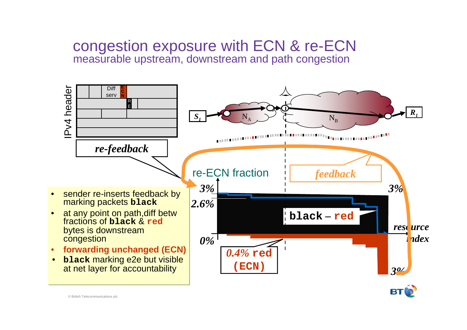#### congestion exposure with ECN & re-ECNmeasurable upstream, downstream and path congestion



© British Telecommunications plc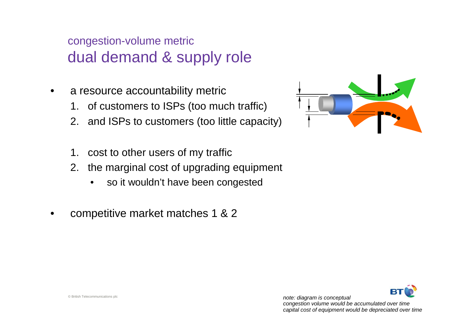#### congestion-volume metric dual demand & supply role

- • a resource accountability metric
	- 1. of customers to ISPs (too much traffic)
	- 2. and ISPs to customers (too little capacity)
	- 1. cost to other users of my traffic
	- 2. the marginal cost of upgrading equipment
		- $\bullet$ so it wouldn't have been congested
- •competitive market matches 1 & 2



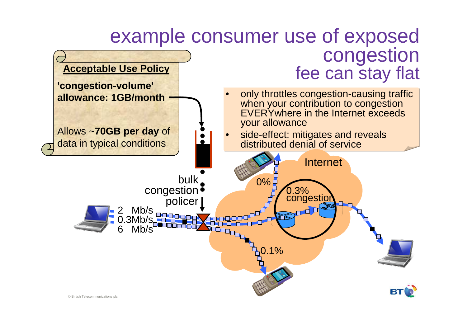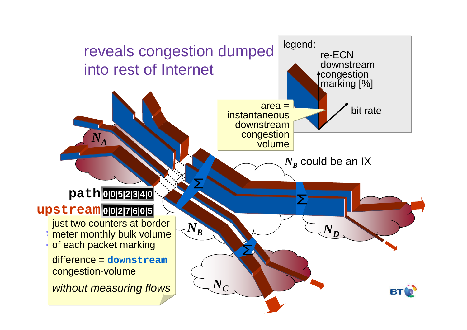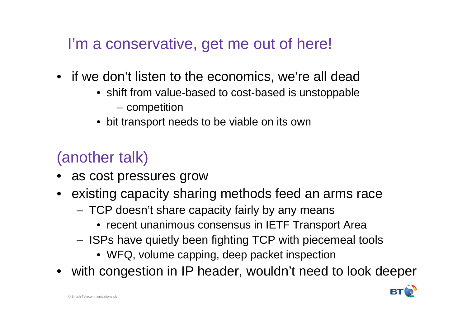I'm a conservative, get me out of here!

- if we don't listen to the economics, we're all dead
	- shift from value-based to cost-based is unstoppable
		- competition
	- bit transport needs to be viable on its own

## (another talk)

- as cost pressures grow
- existing capacity sharing methods feed an arms race
	- – TCP doesn't share capacity fairly by any means
		- recent unanimous consensus in IETF Transport Area
	- – ISPs have quietly been fighting TCP with piecemeal tools
		- WFQ, volume capping, deep packet inspection
- with congestion in IP header, wouldn't need to look deeper

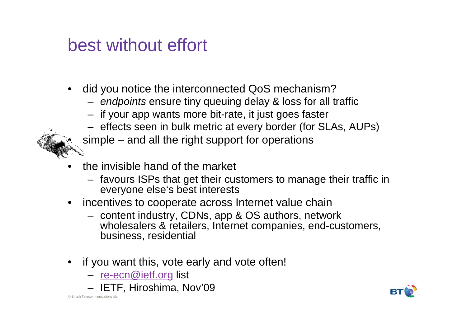### best without effort

- • did you notice the interconnected QoS mechanism?
	- endpoints ensure tiny queuing delay & loss for all traffic
	- if your app wants more bit-rate, it just goes faster
	- effects seen in bulk metric at every border (for SLAs, AUPs)
	- simple and all the right support for operations
- • the invisible hand of the market
	- favours ISPs that get their customers to manage their traffic ineveryone else's best interests
- incentives to cooperate across Internet value chain
	- $-$  contant inductry  $\Gamma$  DNs ann &  $\Gamma$ S authors natw content industry, CDNs, app & OS authors, network wholesalers & retailers, Internet companies, end-customers, business, residential
- if you want this, vote early and vote often!
	- <u>re-ecn@ietf.org</u> list
	- IETF, Hiroshima, Nov'09

•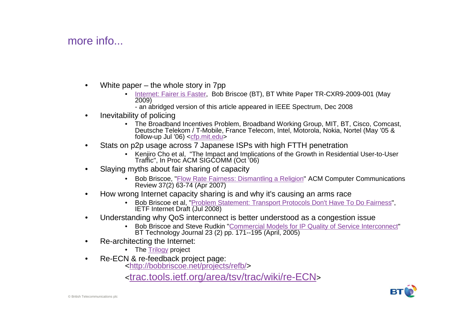#### more info...

- • White paper – the whole story in 7pp
	- Internet: Fairer is Faster, Bob Briscoe (BT), BT White Paper TR-CXR9-2009-001 (May 2009)
		- an abridged version of this article appeared in IEEE Spectrum, Dec 2008
- • Inevitability of policing
	- The Broadband Incentives Problem, Broadband Working Group, MIT, BT, Cisco, Comcast, •Deutsche Telekom / T-Mobile, France Telecom, Intel, Motorola, Nokia, Nortel (May '05 & follow-up Jul '06) <cfp.mit.edu>
- Stats on p2p usage across 7 Japanese ISPs with high FTTH penetration•
	- Kenjiro Cho et al, "The Impact and Implications of the Growth in Residential User-to-User Traffic", In Proc ACM SIGCOMM (Oct '06)
- • Slaying myths about fair sharing of capacity
	- Bob Briscoe, "Flow Rate Fairness: Dismantling a Religion" ACM Computer Communications Review 37(2) 63-74 (Apr 2007)
- • How wrong Internet capacity sharing is and why it's causing an arms race
	- Bob Briscoe et al, "Problem Statement: Transport Protocols Don't Have To Do Fairness", IETF Internet Draft (Jul 2008)
- • Understanding why QoS interconnect is better understood as a congestion issue
	- Bob Briscoe and Steve Rudkin "Commercial Models for IP Quality of Service Interconnect" •BT Technology Journal 23 (2) pp. 171--195 (April, 2005)
- • Re-architecting the Internet:
	- The <u>Trilogy</u> project
- • Re-ECN & re-feedback project page:
	- <http://bobbriscoe.net/projects/refb/>

<trac.tools.ietf.org/area/tsv/trac/wiki/re-ECN>

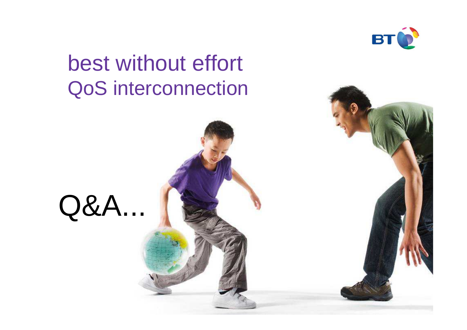

# best without effortQoS interconnection



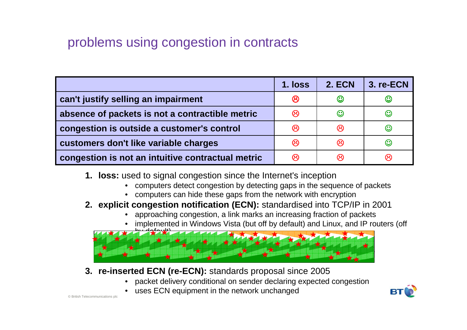#### problems using congestion in contracts

|                                                   | 1. loss | <b>2. ECN</b>     | 3. re-ECN         |
|---------------------------------------------------|---------|-------------------|-------------------|
| can't justify selling an impairment               | ඏ       | $\mathbb{C}$      | $\mathbb{C}$      |
| absence of packets is not a contractible metric   | ඏ       | $\bm{\mathbb{C}}$ | ☺                 |
| congestion is outside a customer's control        | ඏ       | ඏ                 | ☺                 |
| customers don't like variable charges             | ඏ       | ඏ                 | $\bm{\mathbb{C}}$ |
| congestion is not an intuitive contractual metric | ඹ       | ශ                 | ణ                 |

- **1. loss:** used to signal congestion since the Internet's inception
	- computers detect congestion by detecting gaps in the sequence of packets
	- computers can hide these gaps from the network with encryption
- **2. explicit congestion notification (ECN):** standardised into TCP/IP in 2001
	- •approaching congestion, a link marks an increasing fraction of packets
	- implemented in Windows Vista (but off by default) and Linux, and IP routers (off •



- **3. re-inserted ECN (re-ECN):** standards proposal since 2005
	- packet delivery conditional on sender declaring expected congestion
	- uses ECN equipment in the network unchanged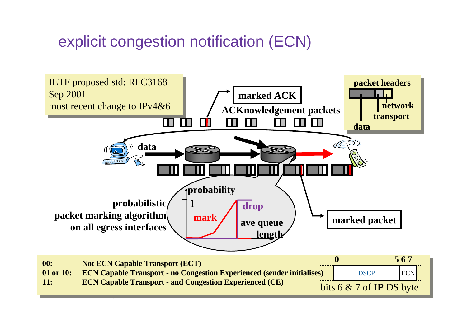#### explicit congestion notification (ECN)

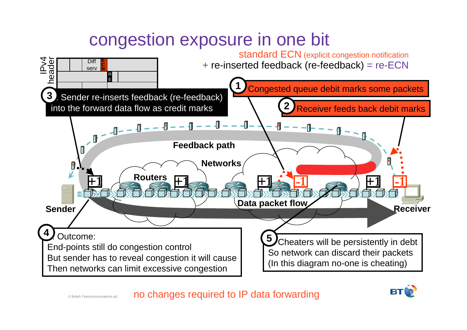# congestion exposure in one bit



© British Telecommunications plcno changes required to IP data forwarding

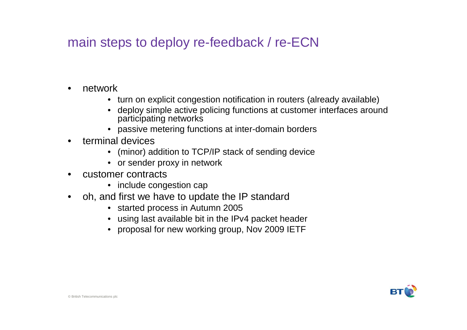#### main steps to deploy re-feedback / re-ECN

- • network
	- turn on explicit congestion notification in routers (already available)
	- deploy simple active policing functions at customer interfaces around participating networks
	- passive metering functions at inter-domain borders
- • terminal devices
	- (minor) addition to TCP/IP stack of sending device
	- or sender proxy in network
- • customer contracts
	- include congestion cap
- oh, and first we have to update the IP standard $\bullet$ 
	- started process in Autumn 2005
	- using last available bit in the IPv4 packet header
	- proposal for new working group, Nov 2009 IETF

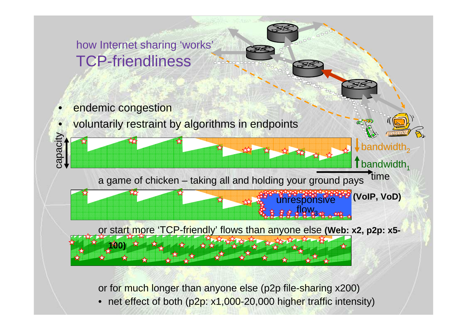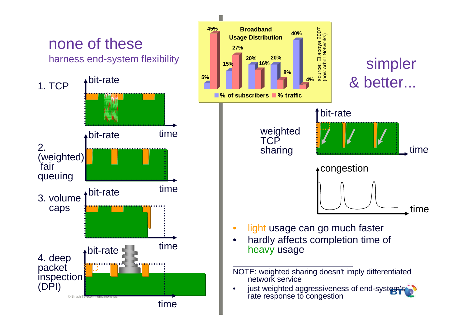



- light usage can go much faster
- hardly affects completion time of

just weighted aggressiveness of end-system's rate response to congestion

NOTE: weighted sharing doesn't imply differentiated